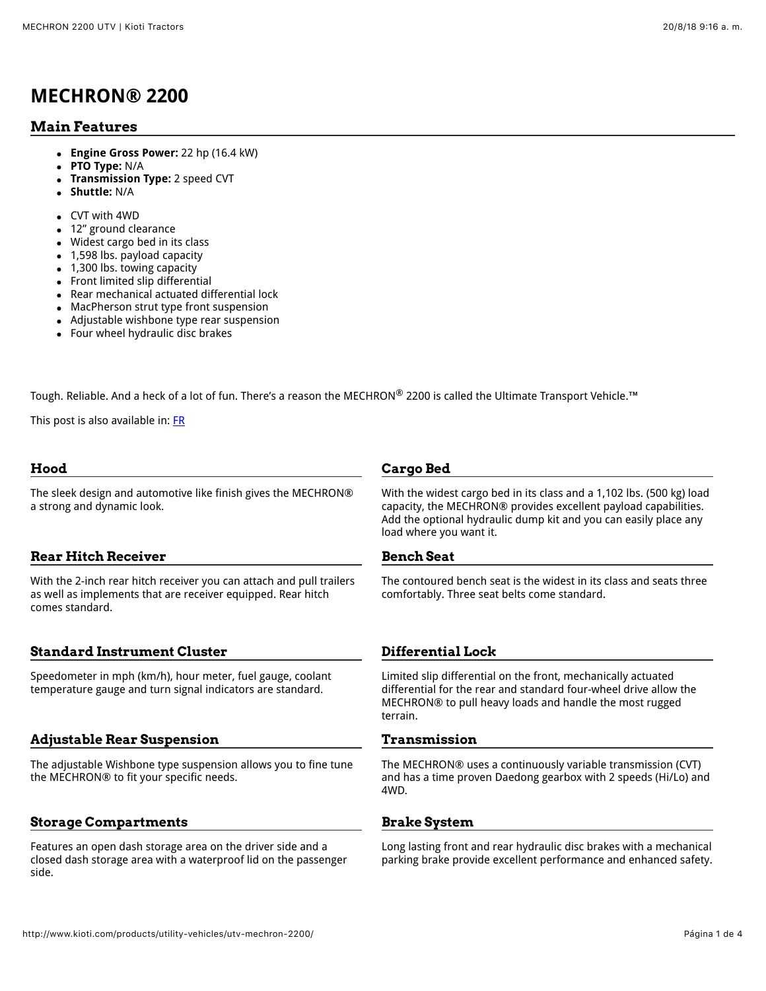## **MECHRON® 2200**

#### **Main Features**

- **Engine Gross Power:** 22 hp (16.4 kW)
- **PTO Type:** N/A
- **Transmission Type:** 2 speed CVT
- $\bullet$ **Shuttle:** N/A
- CVT with 4WD
- 12" ground clearance  $\bullet$
- Widest cargo bed in its class  $\bullet$
- 1,598 lbs. payload capacity  $\bullet$
- 1,300 lbs. towing capacity  $\bullet$
- Front limited slip differential  $\bullet$
- Rear mechanical actuated differential lock
- MacPherson strut type front suspension
- Adjustable wishbone type rear suspension
- Four wheel hydraulic disc brakes

Tough. Reliable. And a heck of a lot of fun. There's a reason the MECHRON® 2200 is called the Ultimate Transport Vehicle.™

This post is also available in: [FR](http://www.kioti.com/fr/produits/utility-vehicles/mechron-2200/)

#### **Hood**

The sleek design and automotive like finish gives the MECHRON® a strong and dynamic look.

#### **Rear Hitch Receiver**

With the 2-inch rear hitch receiver you can attach and pull trailers as well as implements that are receiver equipped. Rear hitch comes standard.

#### **Standard Instrument Cluster**

Speedometer in mph (km/h), hour meter, fuel gauge, coolant temperature gauge and turn signal indicators are standard.

#### **Adjustable Rear Suspension**

The adjustable Wishbone type suspension allows you to fine tune the MECHRON® to fit your specific needs.

#### **Storage Compartments**

Features an open dash storage area on the driver side and a closed dash storage area with a waterproof lid on the passenger side.

#### **Cargo Bed**

With the widest cargo bed in its class and a 1,102 lbs. (500 kg) load capacity, the MECHRON® provides excellent payload capabilities. Add the optional hydraulic dump kit and you can easily place any load where you want it.

#### **Bench Seat**

The contoured bench seat is the widest in its class and seats three comfortably. Three seat belts come standard.

#### **Differential Lock**

Limited slip differential on the front, mechanically actuated differential for the rear and standard four-wheel drive allow the MECHRON® to pull heavy loads and handle the most rugged terrain.

#### **Transmission**

The MECHRON® uses a continuously variable transmission (CVT) and has a time proven Daedong gearbox with 2 speeds (Hi/Lo) and 4WD.

#### **Brake System**

Long lasting front and rear hydraulic disc brakes with a mechanical parking brake provide excellent performance and enhanced safety.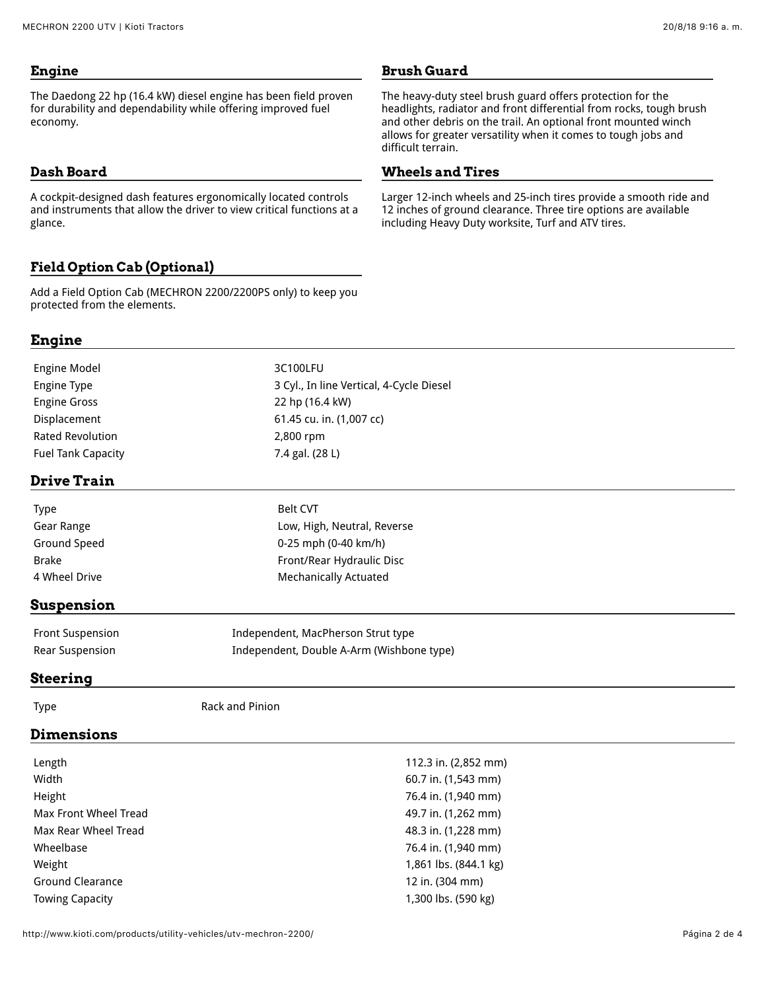The Daedong 22 hp (16.4 kW) diesel engine has been field proven for durability and dependability while offering improved fuel economy.

#### **Dash Board**

A cockpit-designed dash features ergonomically located controls and instruments that allow the driver to view critical functions at a glance.

### **Field Option Cab (Optional)**

Add a Field Option Cab (MECHRON 2200/2200PS only) to keep you protected from the elements.

#### **Brush Guard**

The heavy-duty steel brush guard offers protection for the headlights, radiator and front differential from rocks, tough brush and other debris on the trail. An optional front mounted winch allows for greater versatility when it comes to tough jobs and difficult terrain.

#### **Wheels and Tires**

Larger 12-inch wheels and 25-inch tires provide a smooth ride and 12 inches of ground clearance. Three tire options are available including Heavy Duty worksite, Turf and ATV tires.

### **Engine**

| Engine Model              | 3C100LFU                                 |
|---------------------------|------------------------------------------|
| Engine Type               | 3 Cyl., In line Vertical, 4-Cycle Diesel |
| <b>Engine Gross</b>       | 22 hp (16.4 kW)                          |
| Displacement              | 61.45 cu. in. (1,007 cc)                 |
| <b>Rated Revolution</b>   | 2,800 rpm                                |
| <b>Fuel Tank Capacity</b> | 7.4 gal. (28 L)                          |
|                           |                                          |

#### **Drive Train**

| <b>Type</b>   | <b>Belt CVT</b>              |
|---------------|------------------------------|
| Gear Range    | Low, High, Neutral, Reverse  |
| Ground Speed  | $0-25$ mph (0-40 km/h)       |
| <b>Brake</b>  | Front/Rear Hydraulic Disc    |
| 4 Wheel Drive | <b>Mechanically Actuated</b> |

#### **Suspension**

| <b>Front Suspension</b> | Independent, MacPherson Strut type        |
|-------------------------|-------------------------------------------|
| Rear Suspension         | Independent, Double A-Arm (Wishbone type) |

#### **Steering**

Type **Rack and Pinion** 

#### **Dimensions**

| 112.3 in. (2,852 mm)  |
|-----------------------|
| 60.7 in. (1,543 mm)   |
| 76.4 in. (1,940 mm)   |
| 49.7 in. (1,262 mm)   |
| 48.3 in. (1,228 mm)   |
| 76.4 in. (1,940 mm)   |
| 1,861 lbs. (844.1 kg) |
| 12 in. (304 mm)       |
| 1,300 lbs. (590 kg)   |
|                       |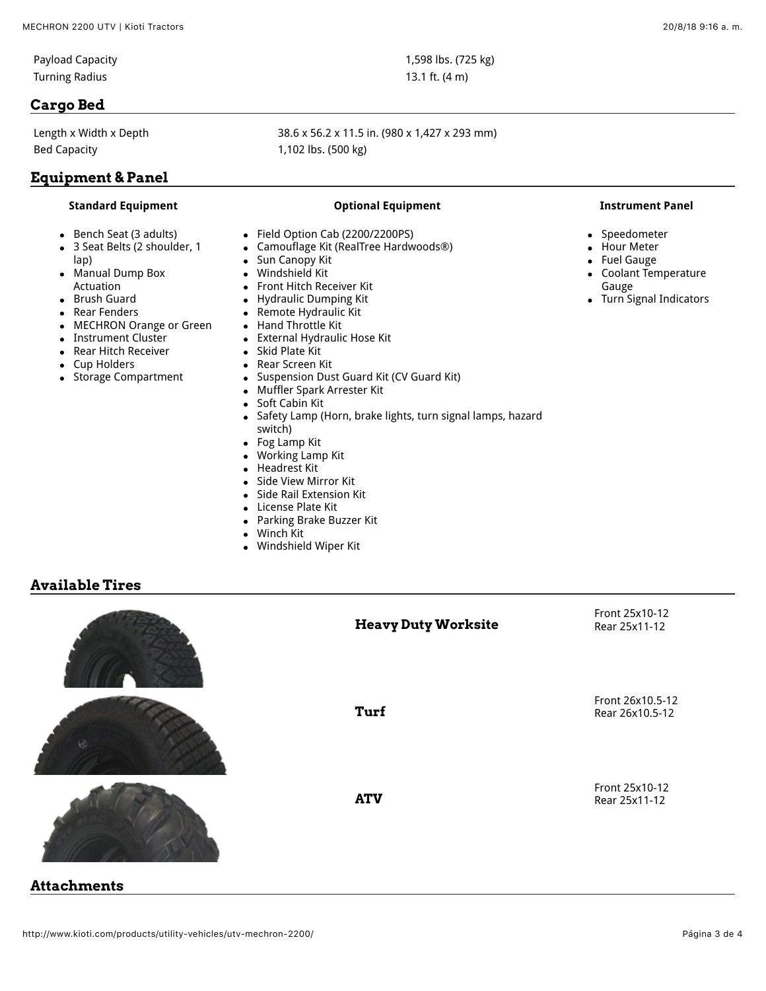Turning Radius 13.1 ft. (4 m)

#### **Cargo Bed**

Bed Capacity **1,102 lbs. (500 kg)** 

### **Equipment & Panel**

#### **Standard Equipment Optional Equipment Instrument Panel**

- Bench Seat (3 adults)
- 3 Seat Belts (2 shoulder, 1 lap)
- Manual Dump Box Actuation
- Brush Guard
- Rear Fenders
- MECHRON Orange or Green
- Instrument Cluster
- Rear Hitch Receiver  $\bullet$
- Cup Holders  $\bullet$
- Storage Compartment  $\bullet$

# Length x Width x Depth 38.6 x 56.2 x 11.5 in. (980 x 1,427 x 293 mm)

- Field Option Cab (2200/2200PS)  $\bullet$
- Camouflage Kit (RealTree Hardwoods®)
- Sun Canopy Kit
- Windshield Kit
- Front Hitch Receiver Kit
- Hydraulic Dumping Kit  $\bullet$
- Remote Hydraulic Kit  $\bullet$
- Hand Throttle Kit  $\bullet$
- External Hydraulic Hose Kit  $\bullet$
- Skid Plate Kit  $\bullet$
- Rear Screen Kit  $\bullet$
- Suspension Dust Guard Kit (CV Guard Kit)  $\bullet$
- Muffler Spark Arrester Kit  $\bullet$
- $\bullet$ Soft Cabin Kit
- Safety Lamp (Horn, brake lights, turn signal lamps, hazard  $\bullet$ switch)
- Fog Lamp Kit  $\bullet$
- Working Lamp Kit  $\bullet$
- Headrest Kit
- Side View Mirror Kit
- Side Rail Extension Kit
- License Plate Kit
- Parking Brake Buzzer Kit  $\bullet$
- Winch Kit  $\bullet$
- Windshield Wiper Kit  $\bullet$

#### **Available Tires**



- $\bullet$ Speedometer
- Hour Meter
- Fuel Gauge
- Coolant Temperature Gauge
- Turn Signal Indicators